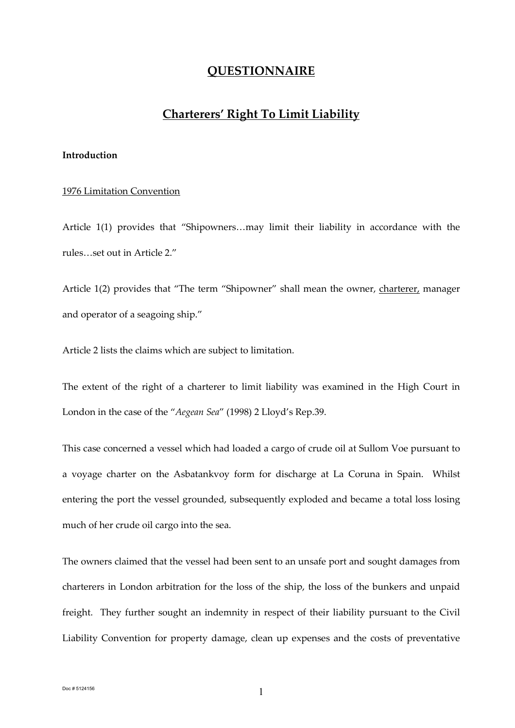### **QUESTIONNAIRE**

## **Charterers' Right To Limit Liability**

#### **Introduction**

#### 1976 Limitation Convention

Article 1(1) provides that "Shipowners…may limit their liability in accordance with the rules…set out in Article 2."

Article 1(2) provides that "The term "Shipowner" shall mean the owner, charterer, manager and operator of a seagoing ship."

Article 2 lists the claims which are subject to limitation.

The extent of the right of a charterer to limit liability was examined in the High Court in London in the case of the "*Aegean Sea*" (1998) 2 Lloyd's Rep.39.

This case concerned a vessel which had loaded a cargo of crude oil at Sullom Voe pursuant to a voyage charter on the Asbatankvoy form for discharge at La Coruna in Spain. Whilst entering the port the vessel grounded, subsequently exploded and became a total loss losing much of her crude oil cargo into the sea.

The owners claimed that the vessel had been sent to an unsafe port and sought damages from charterers in London arbitration for the loss of the ship, the loss of the bunkers and unpaid freight. They further sought an indemnity in respect of their liability pursuant to the Civil Liability Convention for property damage, clean up expenses and the costs of preventative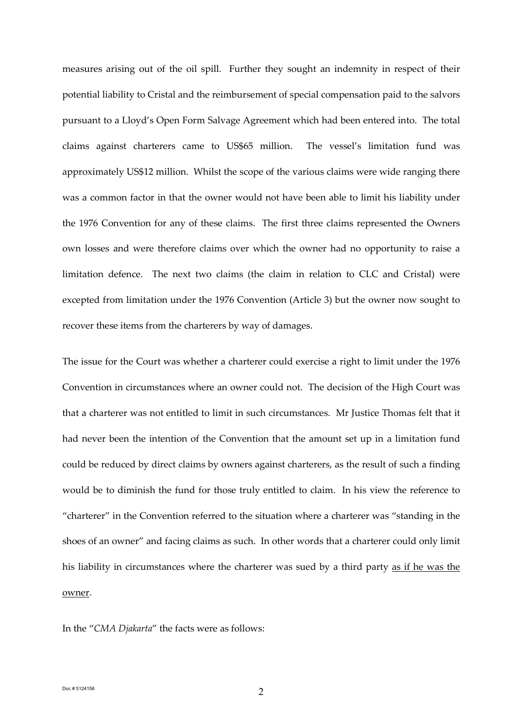measures arising out of the oil spill. Further they sought an indemnity in respect of their potential liability to Cristal and the reimbursement of special compensation paid to the salvors pursuant to a Lloyd's Open Form Salvage Agreement which had been entered into. The total claims against charterers came to US\$65 million. The vessel's limitation fund was approximately US\$12 million. Whilst the scope of the various claims were wide ranging there was a common factor in that the owner would not have been able to limit his liability under the 1976 Convention for any of these claims. The first three claims represented the Owners own losses and were therefore claims over which the owner had no opportunity to raise a limitation defence. The next two claims (the claim in relation to CLC and Cristal) were excepted from limitation under the 1976 Convention (Article 3) but the owner now sought to recover these items from the charterers by way of damages.

The issue for the Court was whether a charterer could exercise a right to limit under the 1976 Convention in circumstances where an owner could not. The decision of the High Court was that a charterer was not entitled to limit in such circumstances. Mr Justice Thomas felt that it had never been the intention of the Convention that the amount set up in a limitation fund could be reduced by direct claims by owners against charterers, as the result of such a finding would be to diminish the fund for those truly entitled to claim. In his view the reference to "charterer" in the Convention referred to the situation where a charterer was "standing in the shoes of an owner" and facing claims as such. In other words that a charterer could only limit his liability in circumstances where the charterer was sued by a third party as if he was the owner.

In the "*CMA Djakarta*" the facts were as follows: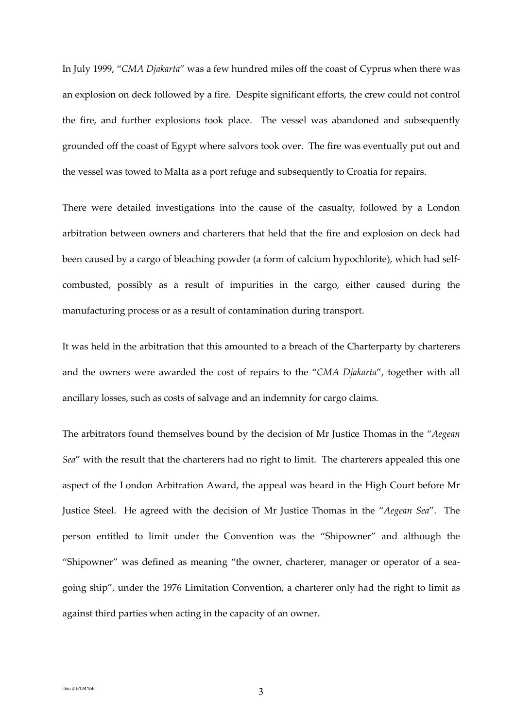In July 1999, "*CMA Djakarta*" was a few hundred miles off the coast of Cyprus when there was an explosion on deck followed by a fire. Despite significant efforts, the crew could not control the fire, and further explosions took place. The vessel was abandoned and subsequently grounded off the coast of Egypt where salvors took over. The fire was eventually put out and the vessel was towed to Malta as a port refuge and subsequently to Croatia for repairs.

There were detailed investigations into the cause of the casualty, followed by a London arbitration between owners and charterers that held that the fire and explosion on deck had been caused by a cargo of bleaching powder (a form of calcium hypochlorite), which had selfcombusted, possibly as a result of impurities in the cargo, either caused during the manufacturing process or as a result of contamination during transport.

It was held in the arbitration that this amounted to a breach of the Charterparty by charterers and the owners were awarded the cost of repairs to the "*CMA Djakarta*", together with all ancillary losses, such as costs of salvage and an indemnity for cargo claims.

The arbitrators found themselves bound by the decision of Mr Justice Thomas in the "*Aegean Sea*" with the result that the charterers had no right to limit. The charterers appealed this one aspect of the London Arbitration Award, the appeal was heard in the High Court before Mr Justice Steel. He agreed with the decision of Mr Justice Thomas in the "*Aegean Sea*". The person entitled to limit under the Convention was the "Shipowner" and although the "Shipowner" was defined as meaning "the owner, charterer, manager or operator of a seagoing ship", under the 1976 Limitation Convention, a charterer only had the right to limit as against third parties when acting in the capacity of an owner.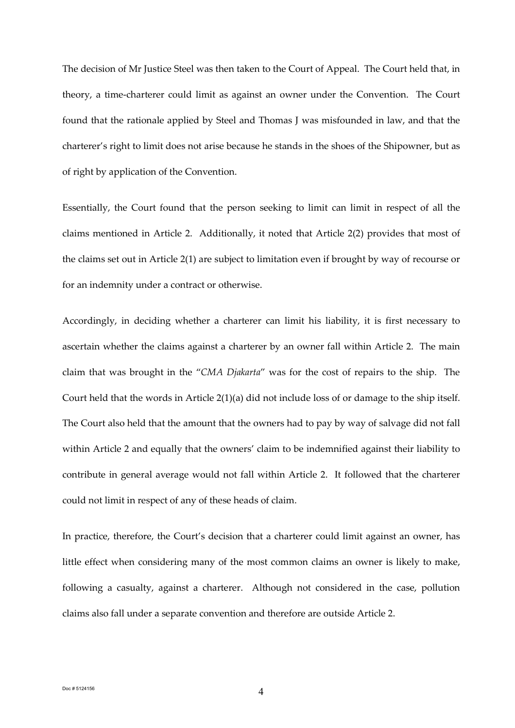The decision of Mr Justice Steel was then taken to the Court of Appeal. The Court held that, in theory, a time-charterer could limit as against an owner under the Convention. The Court found that the rationale applied by Steel and Thomas J was misfounded in law, and that the charterer's right to limit does not arise because he stands in the shoes of the Shipowner, but as of right by application of the Convention.

Essentially, the Court found that the person seeking to limit can limit in respect of all the claims mentioned in Article 2. Additionally, it noted that Article 2(2) provides that most of the claims set out in Article 2(1) are subject to limitation even if brought by way of recourse or for an indemnity under a contract or otherwise.

Accordingly, in deciding whether a charterer can limit his liability, it is first necessary to ascertain whether the claims against a charterer by an owner fall within Article 2. The main claim that was brought in the "*CMA Djakarta*" was for the cost of repairs to the ship. The Court held that the words in Article 2(1)(a) did not include loss of or damage to the ship itself. The Court also held that the amount that the owners had to pay by way of salvage did not fall within Article 2 and equally that the owners' claim to be indemnified against their liability to contribute in general average would not fall within Article 2. It followed that the charterer could not limit in respect of any of these heads of claim.

In practice, therefore, the Court's decision that a charterer could limit against an owner, has little effect when considering many of the most common claims an owner is likely to make, following a casualty, against a charterer. Although not considered in the case, pollution claims also fall under a separate convention and therefore are outside Article 2.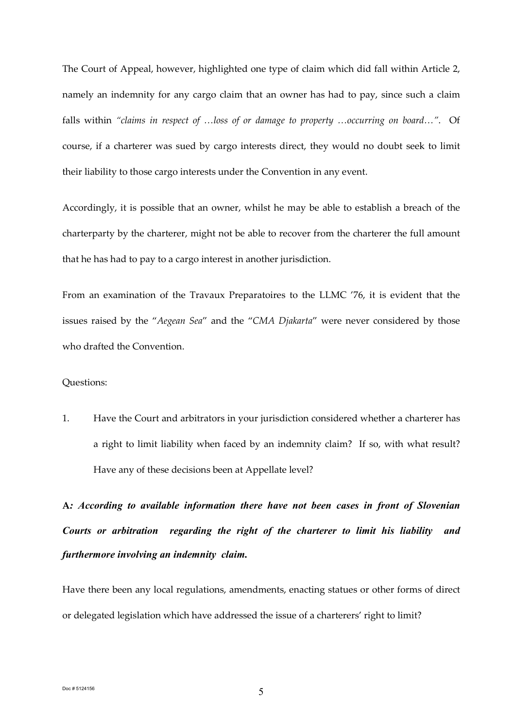The Court of Appeal, however, highlighted one type of claim which did fall within Article 2, namely an indemnity for any cargo claim that an owner has had to pay, since such a claim falls within *"claims in respect of …loss of or damage to property …occurring on board…"*. Of course, if a charterer was sued by cargo interests direct, they would no doubt seek to limit their liability to those cargo interests under the Convention in any event.

Accordingly, it is possible that an owner, whilst he may be able to establish a breach of the charterparty by the charterer, might not be able to recover from the charterer the full amount that he has had to pay to a cargo interest in another jurisdiction.

From an examination of the Travaux Preparatoires to the LLMC '76, it is evident that the issues raised by the "*Aegean Sea*" and the "*CMA Djakarta*" were never considered by those who drafted the Convention.

#### Questions:

1. Have the Court and arbitrators in your jurisdiction considered whether a charterer has a right to limit liability when faced by an indemnity claim? If so, with what result? Have any of these decisions been at Appellate level?

**A***: According to available information there have not been cases in front of Slovenian Courts or arbitration regarding the right of the charterer to limit his liability and furthermore involving an indemnity claim.* 

Have there been any local regulations, amendments, enacting statues or other forms of direct or delegated legislation which have addressed the issue of a charterers' right to limit?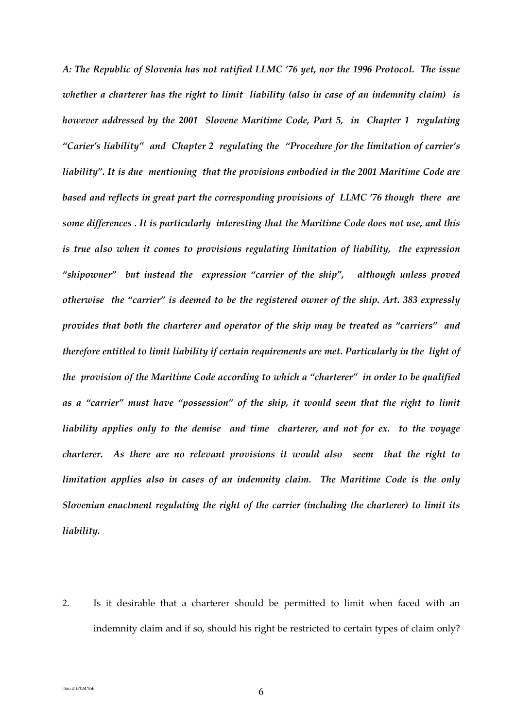*A: The Republic of Slovenia has not ratified LLMC '76 yet, nor the 1996 Protocol. The issue whether a charterer has the right to limit liability (also in case of an indemnity claim) is however addressed by the 2001 Slovene Maritime Code, Part 5, in Chapter 1 regulating "Carier's liability" and Chapter 2 regulating the "Procedure for the limitation of carrier's liability". It is due mentioning that the provisions embodied in the 2001 Maritime Code are based and reflects in great part the corresponding provisions of LLMC '76 though there are some differences . It is particularly interesting that the Maritime Code does not use, and this is true also when it comes to provisions regulating limitation of liability, the expression "shipowner" but instead the expression "carrier of the ship", although unless proved otherwise the "carrier" is deemed to be the registered owner of the ship. Art. 383 expressly provides that both the charterer and operator of the ship may be treated as "carriers" and therefore entitled to limit liability if certain requirements are met. Particularly in the light of the provision of the Maritime Code according to which a "charterer" in order to be qualified as a "carrier" must have "possession" of the ship, it would seem that the right to limit liability applies only to the demise and time charterer, and not for ex. to the voyage charterer. As there are no relevant provisions it would also seem that the right to limitation applies also in cases of an indemnity claim. The Maritime Code is the only Slovenian enactment regulating the right of the carrier (including the charterer) to limit its liability.* 

2. Is it desirable that a charterer should be permitted to limit when faced with an indemnity claim and if so, should his right be restricted to certain types of claim only?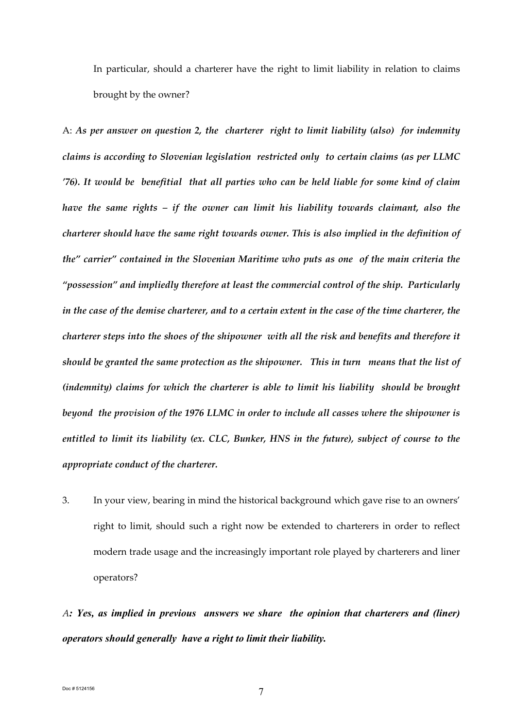In particular, should a charterer have the right to limit liability in relation to claims brought by the owner?

A: *As per answer on question 2, the charterer right to limit liability (also) for indemnity claims is according to Slovenian legislation restricted only to certain claims (as per LLMC '76). It would be benefitial that all parties who can be held liable for some kind of claim have the same rights – if the owner can limit his liability towards claimant, also the charterer should have the same right towards owner. This is also implied in the definition of the" carrier" contained in the Slovenian Maritime who puts as one of the main criteria the "possession" and impliedly therefore at least the commercial control of the ship. Particularly in the case of the demise charterer, and to a certain extent in the case of the time charterer, the charterer steps into the shoes of the shipowner with all the risk and benefits and therefore it should be granted the same protection as the shipowner. This in turn means that the list of (indemnity) claims for which the charterer is able to limit his liability should be brought beyond the provision of the 1976 LLMC in order to include all casses where the shipowner is entitled to limit its liability (ex. CLC, Bunker, HNS in the future), subject of course to the appropriate conduct of the charterer.* 

3. In your view, bearing in mind the historical background which gave rise to an owners' right to limit, should such a right now be extended to charterers in order to reflect modern trade usage and the increasingly important role played by charterers and liner operators?

*A: Yes, as implied in previous answers we share the opinion that charterers and (liner) operators should generally have a right to limit their liability.*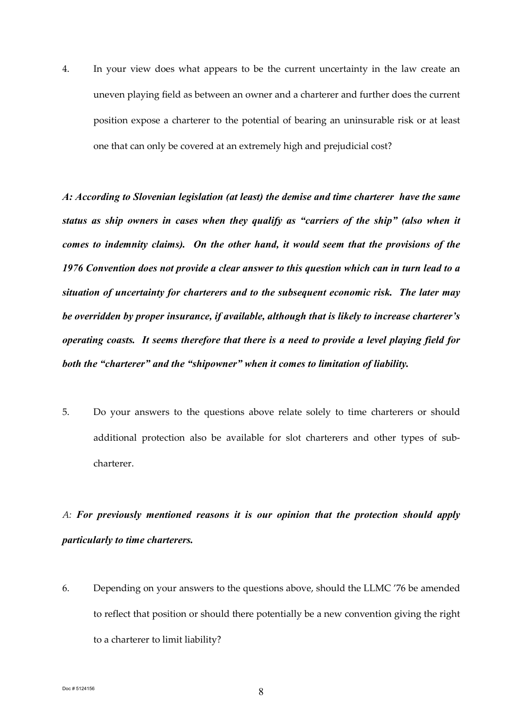4. In your view does what appears to be the current uncertainty in the law create an uneven playing field as between an owner and a charterer and further does the current position expose a charterer to the potential of bearing an uninsurable risk or at least one that can only be covered at an extremely high and prejudicial cost?

*A: According to Slovenian legislation (at least) the demise and time charterer have the same status as ship owners in cases when they qualify as "carriers of the ship" (also when it comes to indemnity claims). On the other hand, it would seem that the provisions of the 1976 Convention does not provide a clear answer to this question which can in turn lead to a situation of uncertainty for charterers and to the subsequent economic risk. The later may be overridden by proper insurance, if available, although that is likely to increase charterer's operating coasts. It seems therefore that there is a need to provide a level playing field for both the "charterer" and the "shipowner" when it comes to limitation of liability.* 

5. Do your answers to the questions above relate solely to time charterers or should additional protection also be available for slot charterers and other types of subcharterer.

# *A: For previously mentioned reasons it is our opinion that the protection should apply particularly to time charterers.*

6. Depending on your answers to the questions above, should the LLMC '76 be amended to reflect that position or should there potentially be a new convention giving the right to a charterer to limit liability?